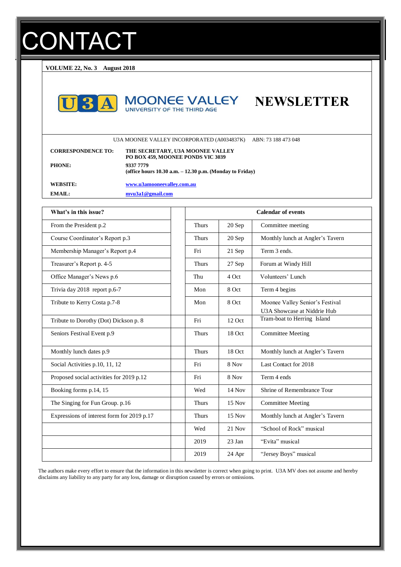# **CONTACT**

**VOLUME 22, No. 3 August 2018**







U3A MOONEE VALLEY INCORPORATED (A0034837K) ABN: 73 188 473 048

| <b>CORRESPONDENCE TO:</b> | THE SECRETARY, U3A MOONEE VALLEY<br>PO BOX 459, MOONEE PONDS VIC 3039     |
|---------------------------|---------------------------------------------------------------------------|
| <b>PHONE:</b>             | 9337 7779<br>(office hours $10.30$ a.m. $- 12.30$ p.m. (Monday to Friday) |
| <b>WEBSITE:</b>           | www.u3amooneevalley.com.au                                                |
| EMAIL:                    | mvu3a1@gmail.com                                                          |

| What's in this issue?                      | <b>Calendar of events</b>         |          |                                                                |
|--------------------------------------------|-----------------------------------|----------|----------------------------------------------------------------|
| From the President p.2                     | <b>Thurs</b>                      | 20 Sep   | Committee meeting                                              |
| Course Coordinator's Report p.3            | <b>Thurs</b>                      | 20 Sep   | Monthly lunch at Angler's Tavern                               |
| Membership Manager's Report p.4            | Fri                               | 21 Sep   | Term 3 ends.                                                   |
| Treasurer's Report p. 4-5                  | <b>Thurs</b>                      | 27 Sep   | Forum at Windy Hill                                            |
| Office Manager's News p.6                  | Volunteers' Lunch<br>4 Oct<br>Thu |          |                                                                |
| Trivia day 2018 report p.6-7               | Mon                               | 8 Oct    | Term 4 begins                                                  |
| Tribute to Kerry Costa p.7-8               | Mon                               | 8 Oct    | Moonee Valley Senior's Festival<br>U3A Showcase at Niddrie Hub |
| Tribute to Dorothy (Dot) Dickson p. 8      | Fri                               | 12 Oct   | Tram-boat to Herring Island                                    |
| Seniors Festival Event p.9                 | <b>Thurs</b>                      | 18 Oct   | <b>Committee Meeting</b>                                       |
| Monthly lunch dates p.9                    | <b>Thurs</b>                      | 18 Oct   | Monthly lunch at Angler's Tavern                               |
| Social Activities p.10, 11, 12             | Fri                               | 8 Nov    | Last Contact for 2018                                          |
| Proposed social activities for 2019 p.12   | Fri                               | 8 Nov    | Term 4 ends                                                    |
| Booking forms p.14, 15                     | Wed                               | $14$ Nov | Shrine of Remembrance Tour                                     |
| The Singing for Fun Group. p.16            | <b>Thurs</b>                      | 15 Nov   | <b>Committee Meeting</b>                                       |
| Expressions of interest form for 2019 p.17 | <b>Thurs</b>                      | $15$ Nov | Monthly lunch at Angler's Tavern                               |
|                                            | Wed                               | $21$ Nov | "School of Rock" musical                                       |
|                                            | 2019                              | 23 Jan   | "Evita" musical                                                |
|                                            | 2019                              | 24 Apr   | "Jersey Boys" musical                                          |

The authors make every effort to ensure that the information in this newsletter is correct when going to print. U3A MV does not assume and hereby disclaims any liability to any party for any loss, damage or disruption caused by errors or omissions.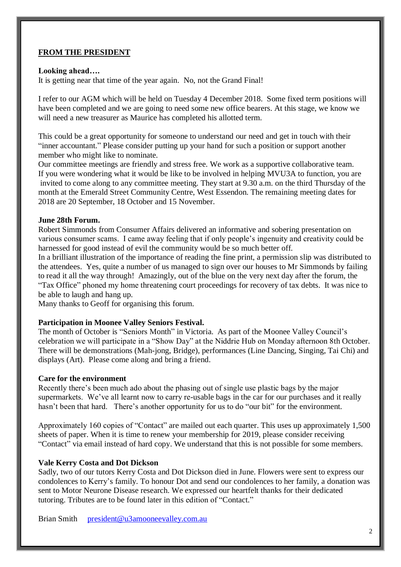# **FROM THE PRESIDENT**

#### **Looking ahead….**

It is getting near that time of the year again. No, not the Grand Final!

I refer to our AGM which will be held on Tuesday 4 December 2018. Some fixed term positions will have been completed and we are going to need some new office bearers. At this stage, we know we will need a new treasurer as Maurice has completed his allotted term.

This could be a great opportunity for someone to understand our need and get in touch with their "inner accountant." Please consider putting up your hand for such a position or support another member who might like to nominate.

Our committee meetings are friendly and stress free. We work as a supportive collaborative team. If you were wondering what it would be like to be involved in helping MVU3A to function, you are invited to come along to any committee meeting. They start at 9.30 a.m. on the third Thursday of the month at the Emerald Street Community Centre, West Essendon. The remaining meeting dates for 2018 are 20 September, 18 October and 15 November.

#### **June 28th Forum.**

Robert Simmonds from Consumer Affairs delivered an informative and sobering presentation on various consumer scams. I came away feeling that if only people's ingenuity and creativity could be harnessed for good instead of evil the community would be so much better off.

In a brilliant illustration of the importance of reading the fine print, a permission slip was distributed to the attendees. Yes, quite a number of us managed to sign over our houses to Mr Simmonds by failing to read it all the way through! Amazingly, out of the blue on the very next day after the forum, the "Tax Office" phoned my home threatening court proceedings for recovery of tax debts. It was nice to be able to laugh and hang up.

Many thanks to Geoff for organising this forum.

#### **Participation in Moonee Valley Seniors Festival.**

The month of October is "Seniors Month" in Victoria. As part of the Moonee Valley Council's celebration we will participate in a "Show Day" at the Niddrie Hub on Monday afternoon 8th October. There will be demonstrations (Mah-jong, Bridge), performances (Line Dancing, Singing, Tai Chi) and displays (Art). Please come along and bring a friend.

#### **Care for the environment**

Recently there's been much ado about the phasing out of single use plastic bags by the major supermarkets. We've all learnt now to carry re-usable bags in the car for our purchases and it really hasn't been that hard. There's another opportunity for us to do "our bit" for the environment.

Approximately 160 copies of "Contact" are mailed out each quarter. This uses up approximately 1,500 sheets of paper. When it is time to renew your membership for 2019, please consider receiving "Contact" via email instead of hard copy. We understand that this is not possible for some members.

# **Vale Kerry Costa and Dot Dickson**

Sadly, two of our tutors Kerry Costa and Dot Dickson died in June. Flowers were sent to express our condolences to Kerry's family. To honour Dot and send our condolences to her family, a donation was sent to Motor Neurone Disease research. We expressed our heartfelt thanks for their dedicated tutoring. Tributes are to be found later in this edition of "Contact."

Brian Smith [president@u3amooneevalley.com.au](mailto:president@u3amooneevalley.com.au)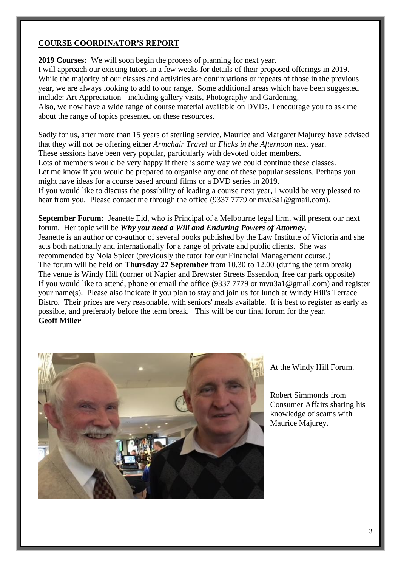#### **COURSE COORDINATOR'S REPORT**

**2019 Courses:** We will soon begin the process of planning for next year. I will approach our existing tutors in a few weeks for details of their proposed offerings in 2019. While the majority of our classes and activities are continuations or repeats of those in the previous year, we are always looking to add to our range. Some additional areas which have been suggested include: Art Appreciation - including gallery visits, Photography and Gardening. Also, we now have a wide range of course material available on DVDs. I encourage you to ask me about the range of topics presented on these resources.

Sadly for us, after more than 15 years of sterling service, Maurice and Margaret Majurey have advised that they will not be offering either *Armchair Travel* or *Flicks in the Afternoon* next year. These sessions have been very popular, particularly with devoted older members. Lots of members would be very happy if there is some way we could continue these classes. Let me know if you would be prepared to organise any one of these popular sessions. Perhaps you might have ideas for a course based around films or a DVD series in 2019. If you would like to discuss the possibility of leading a course next year, I would be very pleased to hear from you. Please contact me through the office (9337 7779 or mvu3a1@gmail.com).

**September Forum:** Jeanette Eid, who is Principal of a Melbourne legal firm, will present our next forum. Her topic will be *Why you need a Will and Enduring Powers of Attorney*. Jeanette is an author or co-author of several books published by the Law Institute of Victoria and she acts both nationally and internationally for a range of private and public clients. She was recommended by Nola Spicer (previously the tutor for our Financial Management course.) The forum will be held on **Thursday 27 September** from 10.30 to 12.00 (during the term break) The venue is Windy Hill (corner of Napier and Brewster Streets Essendon, free car park opposite) If you would like to attend, phone or email the office (9337 7779 or mvu3a1@gmail.com) and register your name(s). Please also indicate if you plan to stay and join us for lunch at Windy Hill's Terrace Bistro. Their prices are very reasonable, with seniors' meals available. It is best to register as early as possible, and preferably before the term break. This will be our final forum for the year. **Geoff Miller**



At the Windy Hill Forum.

Robert Simmonds from Consumer Affairs sharing his knowledge of scams with Maurice Majurey.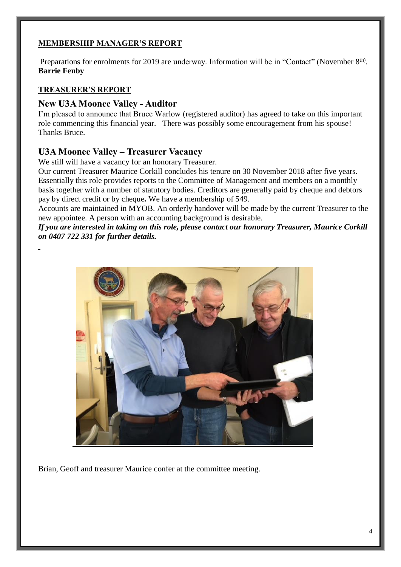# **MEMBERSHIP MANAGER'S REPORT**

Preparations for enrolments for 2019 are underway. Information will be in "Contact" (November 8<sup>th)</sup>. **Barrie Fenby**

# **TREASURER'S REPORT**

# **New U3A Moonee Valley - Auditor**

I'm pleased to announce that Bruce Warlow (registered auditor) has agreed to take on this important role commencing this financial year. There was possibly some encouragement from his spouse! Thanks Bruce.

# **U3A Moonee Valley – Treasurer Vacancy**

We still will have a vacancy for an honorary Treasurer.

Our current Treasurer Maurice Corkill concludes his tenure on 30 November 2018 after five years. Essentially this role provides reports to the Committee of Management and members on a monthly basis together with a number of statutory bodies. Creditors are generally paid by cheque and debtors pay by direct credit or by cheque*.* We have a membership of 549.

Accounts are maintained in MYOB. An orderly handover will be made by the current Treasurer to the new appointee. A person with an accounting background is desirable.

*If you are interested in taking on this role, please contact our honorary Treasurer, Maurice Corkill on 0407 722 331 for further details.*



Brian, Geoff and treasurer Maurice confer at the committee meeting.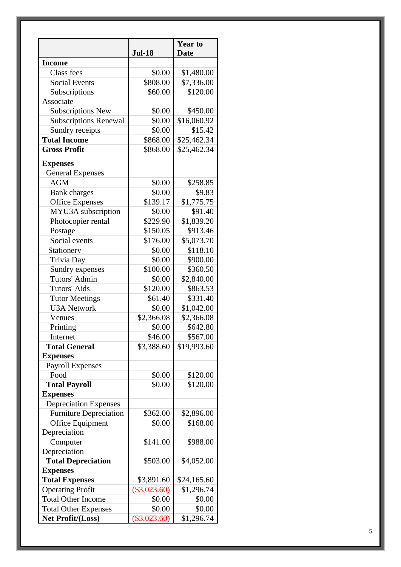|                               | <b>Jul-18</b>  | <b>Year to</b><br><b>Date</b> |
|-------------------------------|----------------|-------------------------------|
| <b>Income</b>                 |                |                               |
| Class fees                    | \$0.00         | \$1,480.00                    |
| <b>Social Events</b>          | \$808.00       | \$7,336.00                    |
| Subscriptions                 | \$60.00        | \$120.00                      |
| Associate                     |                |                               |
| <b>Subscriptions New</b>      | \$0.00         | \$450.00                      |
| <b>Subscriptions Renewal</b>  | \$0.00         | \$16,060.92                   |
| Sundry receipts               | \$0.00         | \$15.42                       |
| <b>Total Income</b>           | \$868.00       | \$25,462.34                   |
| <b>Gross Profit</b>           | \$868.00       |                               |
|                               |                | \$25,462.34                   |
| <b>Expenses</b>               |                |                               |
| <b>General Expenses</b>       |                |                               |
| <b>AGM</b>                    | \$0.00         | \$258.85                      |
| <b>Bank</b> charges           | \$0.00         | \$9.83                        |
| <b>Office Expenses</b>        | \$139.17       | \$1,775.75                    |
| MYU3A subscription            | \$0.00         | \$91.40                       |
| Photocopier rental            | \$229.90       | \$1,839.20                    |
| Postage                       | \$150.05       | \$913.46                      |
| Social events                 | \$176.00       | \$5,073.70                    |
| Stationery                    | \$0.00         | \$118.10                      |
| Trivia Day                    | \$0.00         | \$900.00                      |
| Sundry expenses               | \$100.00       | \$360.50                      |
| Tutors' Admin                 | \$0.00         | \$2,840.00                    |
| Tutors' Aids                  | \$120.00       | \$863.53                      |
| <b>Tutor Meetings</b>         | \$61.40        | \$331.40                      |
| <b>U3A Network</b>            | \$0.00         | \$1,042.00                    |
| Venues                        | \$2,366.08     | \$2,366.08                    |
| Printing                      | \$0.00         | \$642.80                      |
| Internet                      | \$46.00        | \$567.00                      |
| <b>Total General</b>          | \$3,388.60     | \$19,993.60                   |
| <b>Expenses</b>               |                |                               |
| <b>Payroll Expenses</b>       |                |                               |
| Food                          | \$0.00         | \$120.00                      |
| <b>Total Payroll</b>          | \$0.00         | \$120.00                      |
| <b>Expenses</b>               |                |                               |
| <b>Depreciation Expenses</b>  |                |                               |
| <b>Furniture Depreciation</b> | \$362.00       | \$2,896.00                    |
| Office Equipment              | \$0.00         | \$168.00                      |
| Depreciation                  |                |                               |
| Computer                      | \$141.00       | \$988.00                      |
| Depreciation                  |                |                               |
| <b>Total Depreciation</b>     | \$503.00       | \$4,052.00                    |
| <b>Expenses</b>               |                |                               |
| <b>Total Expenses</b>         | \$3,891.60     | \$24,165.60                   |
| <b>Operating Profit</b>       | $(\$3,023.60)$ | \$1,296.74                    |
| <b>Total Other Income</b>     | \$0.00         | \$0.00                        |
|                               |                |                               |
| <b>Total Other Expenses</b>   | \$0.00         | \$0.00                        |
| Net Profit/(Loss)             | $(\$3,023.60)$ | \$1,296.74                    |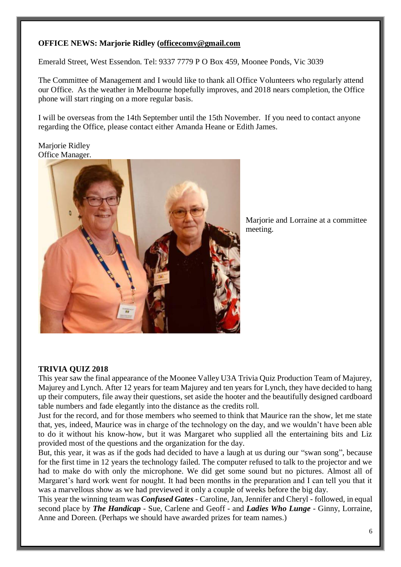# **OFFICE NEWS: Marjorie Ridley [\(officecomv@gmail.com](mailto:officecomv@gmail.com)**

Emerald Street, West Essendon. Tel: 9337 7779 P O Box 459, Moonee Ponds, Vic 3039

The Committee of Management and I would like to thank all Office Volunteers who regularly attend our Office. As the weather in Melbourne hopefully improves, and 2018 nears completion, the Office phone will start ringing on a more regular basis.

I will be overseas from the 14th September until the 15th November. If you need to contact anyone regarding the Office, please contact either Amanda Heane or Edith James.

#### Marjorie Ridley Office Manager.



Marjorie and Lorraine at a committee meeting.

# **TRIVIA QUIZ 2018**

This year saw the final appearance of the Moonee Valley U3A Trivia Quiz Production Team of Majurey, Majurey and Lynch. After 12 years for team Majurey and ten years for Lynch, they have decided to hang up their computers, file away their questions, set aside the hooter and the beautifully designed cardboard table numbers and fade elegantly into the distance as the credits roll.

Just for the record, and for those members who seemed to think that Maurice ran the show, let me state that, yes, indeed, Maurice was in charge of the technology on the day, and we wouldn't have been able to do it without his know-how, but it was Margaret who supplied all the entertaining bits and Liz provided most of the questions and the organization for the day.

But, this year, it was as if the gods had decided to have a laugh at us during our "swan song", because for the first time in 12 years the technology failed. The computer refused to talk to the projector and we had to make do with only the microphone. We did get some sound but no pictures. Almost all of Margaret's hard work went for nought. It had been months in the preparation and I can tell you that it was a marvellous show as we had previewed it only a couple of weeks before the big day.

This year the winning team was *Confused Gates* - Caroline, Jan, Jennifer and Cheryl - followed, in equal second place by *The Handicap* - Sue, Carlene and Geoff - and *Ladies Who Lunge* - Ginny, Lorraine, Anne and Doreen. (Perhaps we should have awarded prizes for team names.)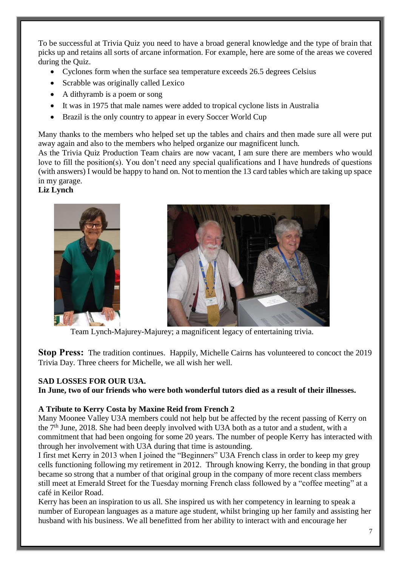To be successful at Trivia Quiz you need to have a broad general knowledge and the type of brain that picks up and retains all sorts of arcane information. For example, here are some of the areas we covered during the Quiz.

- Cyclones form when the surface sea temperature exceeds 26.5 degrees Celsius
- Scrabble was originally called Lexico
- A dithyramb is a poem or song
- It was in 1975 that male names were added to tropical cyclone lists in Australia
- Brazil is the only country to appear in every Soccer World Cup

Many thanks to the members who helped set up the tables and chairs and then made sure all were put away again and also to the members who helped organize our magnificent lunch.

As the Trivia Quiz Production Team chairs are now vacant, I am sure there are members who would love to fill the position(s). You don't need any special qualifications and I have hundreds of questions (with answers) I would be happy to hand on. Not to mention the 13 card tables which are taking up space in my garage.

# **Liz Lynch**





Team Lynch-Majurey-Majurey; a magnificent legacy of entertaining trivia.

**Stop Press:** The tradition continues. Happily, Michelle Cairns has volunteered to concoct the 2019 Trivia Day. Three cheers for Michelle, we all wish her well.

# **SAD LOSSES FOR OUR U3A.**

**In June, two of our friends who were both wonderful tutors died as a result of their illnesses.** 

#### **A Tribute to Kerry Costa by Maxine Reid from French 2**

Many Moonee Valley U3A members could not help but be affected by the recent passing of Kerry on the 7<sup>th</sup> June, 2018. She had been deeply involved with U3A both as a tutor and a student, with a commitment that had been ongoing for some 20 years. The number of people Kerry has interacted with through her involvement with U3A during that time is astounding.

I first met Kerry in 2013 when I joined the "Beginners" U3A French class in order to keep my grey cells functioning following my retirement in 2012. Through knowing Kerry, the bonding in that group became so strong that a number of that original group in the company of more recent class members still meet at Emerald Street for the Tuesday morning French class followed by a "coffee meeting" at a café in Keilor Road.

Kerry has been an inspiration to us all. She inspired us with her competency in learning to speak a number of European languages as a mature age student, whilst bringing up her family and assisting her husband with his business. We all benefitted from her ability to interact with and encourage her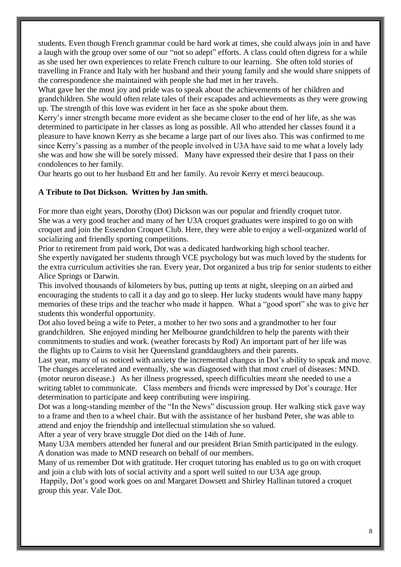students. Even though French grammar could be hard work at times, she could always join in and have a laugh with the group over some of our "not so adept" efforts. A class could often digress for a while as she used her own experiences to relate French culture to our learning. She often told stories of travelling in France and Italy with her husband and their young family and she would share snippets of the correspondence she maintained with people she had met in her travels.

What gave her the most joy and pride was to speak about the achievements of her children and grandchildren. She would often relate tales of their escapades and achievements as they were growing up. The strength of this love was evident in her face as she spoke about them.

Kerry's inner strength became more evident as she became closer to the end of her life, as she was determined to participate in her classes as long as possible. All who attended her classes found it a pleasure to have known Kerry as she became a large part of our lives also. This was confirmed to me since Kerry's passing as a number of the people involved in U3A have said to me what a lovely lady she was and how she will be sorely missed. Many have expressed their desire that I pass on their condolences to her family.

Our hearts go out to her husband Ett and her family. Au revoir Kerry et merci beaucoup.

#### **A Tribute to Dot Dickson. Written by Jan smith.**

For more than eight years, Dorothy (Dot) Dickson was our popular and friendly croquet tutor. She was a very good teacher and many of her U3A croquet graduates were inspired to go on with croquet and join the Essendon Croquet Club. Here, they were able to enjoy a well-organized world of socializing and friendly sporting competitions.

Prior to retirement from paid work, Dot was a dedicated hardworking high school teacher. She expertly navigated her students through VCE psychology but was much loved by the students for the extra curriculum activities she ran. Every year, Dot organized a bus trip for senior students to either Alice Springs or Darwin.

This involved thousands of kilometers by bus, putting up tents at night, sleeping on an airbed and encouraging the students to call it a day and go to sleep. Her lucky students would have many happy memories of these trips and the teacher who made it happen. What a "good sport" she was to give her students this wonderful opportunity.

Dot also loved being a wife to Peter, a mother to her two sons and a grandmother to her four grandchildren. She enjoyed minding her Melbourne grandchildren to help the parents with their commitments to studies and work. (weather forecasts by Rod) An important part of her life was the flights up to Cairns to visit her Queensland granddaughters and their parents.

Last year, many of us noticed with anxiety the incremental changes in Dot's ability to speak and move. The changes accelerated and eventually, she was diagnosed with that most cruel of diseases: MND. (motor neuron disease.) As her illness progressed, speech difficulties meant she needed to use a writing tablet to communicate. Class members and friends were impressed by Dot's courage. Her determination to participate and keep contributing were inspiring.

Dot was a long-standing member of the "In the News" discussion group. Her walking stick gave way to a frame and then to a wheel chair. But with the assistance of her husband Peter, she was able to attend and enjoy the friendship and intellectual stimulation she so valued.

After a year of very brave struggle Dot died on the 14th of June.

Many U3A members attended her funeral and our president Brian Smith participated in the eulogy. A donation was made to MND research on behalf of our members.

Many of us remember Dot with gratitude. Her croquet tutoring has enabled us to go on with croquet and join a club with lots of social activity and a sport well suited to our U3A age group.

Happily, Dot's good work goes on and Margaret Dowsett and Shirley Hallinan tutored a croquet group this year. Vale Dot.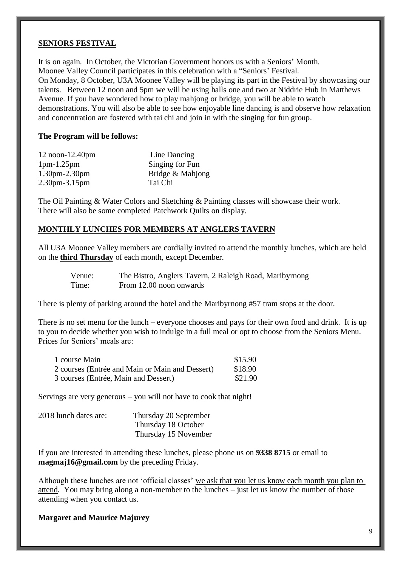#### **SENIORS FESTIVAL**

It is on again. In October, the Victorian Government honors us with a Seniors' Month. Moonee Valley Council participates in this celebration with a "Seniors' Festival. On Monday, 8 October, U3A Moonee Valley will be playing its part in the Festival by showcasing our talents. Between 12 noon and 5pm we will be using halls one and two at Niddrie Hub in Matthews Avenue. If you have wondered how to play mahjong or bridge, you will be able to watch demonstrations. You will also be able to see how enjoyable line dancing is and observe how relaxation and concentration are fostered with tai chi and join in with the singing for fun group.

#### **The Program will be follows:**

| $12$ noon- $12.40$ pm | Line Dancing     |
|-----------------------|------------------|
| $1pm-1.25pm$          | Singing for Fun  |
| $1.30$ pm $-2.30$ pm  | Bridge & Mahjong |
| $2.30$ pm $-3.15$ pm  | Tai Chi          |

The Oil Painting & Water Colors and Sketching & Painting classes will showcase their work. There will also be some completed Patchwork Quilts on display.

#### **MONTHLY LUNCHES FOR MEMBERS AT ANGLERS TAVERN**

All U3A Moonee Valley members are cordially invited to attend the monthly lunches, which are held on the **third Thursday** of each month, except December.

Venue: The Bistro, Anglers Tavern, 2 Raleigh Road, Maribyrnong Time: From 12.00 noon onwards

There is plenty of parking around the hotel and the Maribyrnong #57 tram stops at the door.

There is no set menu for the lunch – everyone chooses and pays for their own food and drink. It is up to you to decide whether you wish to indulge in a full meal or opt to choose from the Seniors Menu. Prices for Seniors' meals are:

| 1 course Main                                   | \$15.90 |
|-------------------------------------------------|---------|
| 2 courses (Entrée and Main or Main and Dessert) | \$18.90 |
| 3 courses (Entrée, Main and Dessert)            | \$21.90 |

Servings are very generous – you will not have to cook that night!

| 2018 lunch dates are: | Thursday 20 September |
|-----------------------|-----------------------|
|                       | Thursday 18 October   |
|                       | Thursday 15 November  |

If you are interested in attending these lunches, please phone us on **9338 8715** or email to **magmaj16@gmail.com** by the preceding Friday.

Although these lunches are not 'official classes' we ask that you let us know each month you plan to attend. You may bring along a non-member to the lunches – just let us know the number of those attending when you contact us.

**Margaret and Maurice Majurey**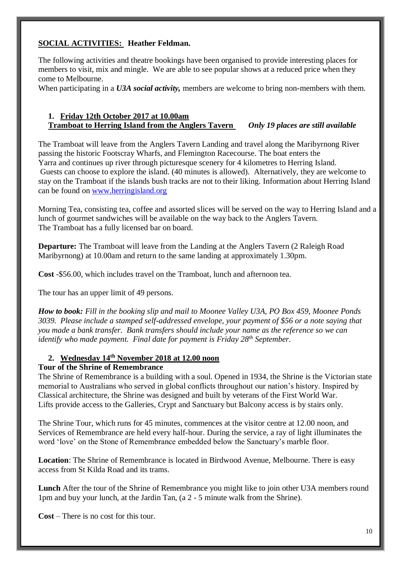# **SOCIAL ACTIVITIES: Heather Feldman.**

The following activities and theatre bookings have been organised to provide interesting places for members to visit, mix and mingle. We are able to see popular shows at a reduced price when they come to Melbourne.

When participating in a *U3A social activity,* members are welcome to bring non-members with them.

#### **1. Friday 12th October 2017 at 10.00am Tramboat to Herring Island from the Anglers Tavern** *Only 19 places are still available*

The Tramboat will leave from the Anglers Tavern Landing and travel along the Maribyrnong River passing the historic Footscray Wharfs, and Flemington Racecourse. The boat enters the Yarra and continues up river through picturesque scenery for 4 kilometres to Herring Island. Guests can choose to explore the island. (40 minutes is allowed). Alternatively, they are welcome to stay on the Tramboat if the islands bush tracks are not to their liking. Information about Herring Island can be found on [www.herringisland.org](http://www.herringisland.org/)

Morning Tea, consisting tea, coffee and assorted slices will be served on the way to Herring Island and a lunch of gourmet sandwiches will be available on the way back to the Anglers Tavern. The Tramboat has a fully licensed bar on board.

**Departure:** The Tramboat will leave from the Landing at the Anglers Tavern (2 Raleigh Road Maribyrnong) at 10.00am and return to the same landing at approximately 1.30pm.

**Cost** -\$56.00, which includes travel on the Tramboat, lunch and afternoon tea.

The tour has an upper limit of 49 persons.

*How to book: Fill in the booking slip and mail to Moonee Valley U3A, PO Box 459, Moonee Ponds 3039. Please include a stamped self-addressed envelope, your payment of \$56 or a note saying that you made a bank transfer. Bank transfers should include your name as the reference so we can identify who made payment. Final date for payment is Friday 28th September.*

# **2. Wednesday 14th November 2018 at 12.00 noon**

# **Tour of the Shrine of Remembrance**

The Shrine of Remembrance is a building with a soul. Opened in 1934, the Shrine is the Victorian state memorial to Australians who served in global conflicts throughout our nation's history. Inspired by Classical architecture, the Shrine was designed and built by veterans of the First World War. Lifts provide access to the Galleries, Crypt and Sanctuary but Balcony access is by stairs only.

The Shrine Tour, which runs for 45 minutes, commences at the visitor centre at 12.00 noon, and Services of Remembrance are held every half-hour. During the service, a ray of light illuminates the word 'love' on the Stone of Remembrance embedded below the Sanctuary's marble floor.

**Location**: The Shrine of Remembrance is located in Birdwood Avenue, Melbourne. There is easy access from St Kilda Road and its trams.

**Lunch** After the tour of the Shrine of Remembrance you might like to join other U3A members round 1pm and buy your lunch, at the Jardin Tan, (a 2 - 5 minute walk from the Shrine).

**Cost** – There is no cost for this tour.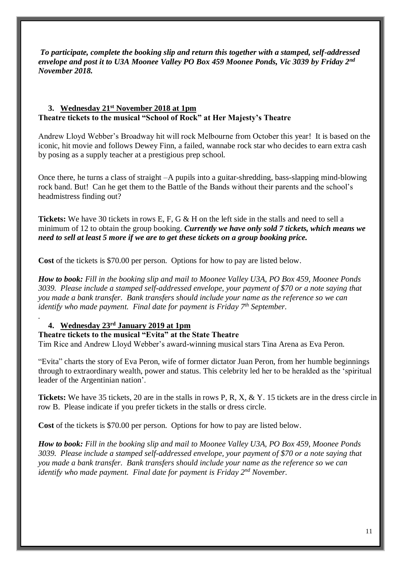*To participate, complete the booking slip and return this together with a stamped, self-addressed envelope and post it to U3A Moonee Valley PO Box 459 Moonee Ponds, Vic 3039 by Friday 2nd November 2018.* 

#### **3. Wednesday 21st November 2018 at 1pm Theatre tickets to the musical "School of Rock" at Her Majesty's Theatre**

Andrew Lloyd Webber's Broadway hit will rock Melbourne from October this year! It is based on the iconic, hit movie and follows Dewey Finn, a failed, wannabe rock star who decides to earn extra cash by posing as a supply teacher at a prestigious prep school.

Once there, he turns a class of straight –A pupils into a guitar-shredding, bass-slapping mind-blowing rock band. But! Can he get them to the Battle of the Bands without their parents and the school's headmistress finding out?

**Tickets:** We have 30 tickets in rows E, F, G & H on the left side in the stalls and need to sell a minimum of 12 to obtain the group booking. *Currently we have only sold 7 tickets, which means we need to sell at least 5 more if we are to get these tickets on a group booking price.*

Cost of the tickets is \$70.00 per person. Options for how to pay are listed below.

*How to book: Fill in the booking slip and mail to Moonee Valley U3A, PO Box 459, Moonee Ponds 3039. Please include a stamped self-addressed envelope, your payment of \$70 or a note saying that you made a bank transfer. Bank transfers should include your name as the reference so we can identify who made payment. Final date for payment is Friday 7th September.*

# **4. Wednesday 23rd January 2019 at 1pm**

*.* 

#### **Theatre tickets to the musical "Evita" at the State Theatre**

Tim Rice and Andrew Lloyd Webber's award-winning musical stars Tina Arena as Eva Peron.

"Evita" charts the story of Eva Peron, wife of former dictator Juan Peron, from her humble beginnings through to extraordinary wealth, power and status. This celebrity led her to be heralded as the 'spiritual leader of the Argentinian nation'.

**Tickets:** We have 35 tickets, 20 are in the stalls in rows P, R, X, & Y. 15 tickets are in the dress circle in row B. Please indicate if you prefer tickets in the stalls or dress circle.

**Cost** of the tickets is \$70.00 per person. Options for how to pay are listed below.

*How to book: Fill in the booking slip and mail to Moonee Valley U3A, PO Box 459, Moonee Ponds 3039. Please include a stamped self-addressed envelope, your payment of \$70 or a note saying that you made a bank transfer. Bank transfers should include your name as the reference so we can identify who made payment. Final date for payment is Friday 2nd November.*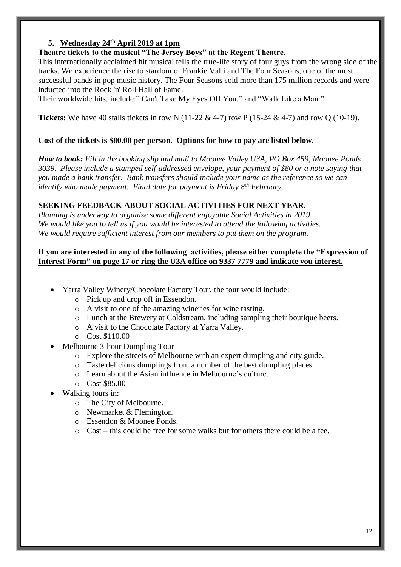# **5. Wednesday 24th April 2019 at 1pm**

#### **Theatre tickets to the musical "The Jersey Boys" at the Regent Theatre.**

This internationally acclaimed hit musical tells the true-life story of four guys from the wrong side of the tracks. We experience the rise to stardom of [Frankie Valli](https://www.broadwayworld.com/people/Frankie-Valli/) and The Four Seasons, one of the most successful bands in pop music history. The Four Seasons sold more than 175 million records and were inducted into the Rock 'n' Roll Hall of Fame.

Their worldwide hits, include:" Can't Take My Eyes Off You," and "Walk Like a Man."

**Tickets:** We have 40 stalls tickets in row N (11-22 & 4-7) row P (15-24 & 4-7) and row Q (10-19).

# **Cost of the tickets is \$80.00 per person. Options for how to pay are listed below.**

*How to book: Fill in the booking slip and mail to Moonee Valley U3A, PO Box 459, Moonee Ponds 3039. Please include a stamped self-addressed envelope, your payment of \$80 or a note saying that you made a bank transfer. Bank transfers should include your name as the reference so we can identify who made payment. Final date for payment is Friday 8th February.*

# **SEEKING FEEDBACK ABOUT SOCIAL ACTIVITIES FOR NEXT YEAR.**

*Planning is underway to organise some different enjoyable Social Activities in 2019. We would like you to tell us if you would be interested to attend the following activities. We would require sufficient interest from our members to put them on the program.* 

# **If you are interested in any of the following activities, please either complete the "Expression of Interest Form" on page 17 or ring the U3A office on 9337 7779 and indicate you interest.**

- Yarra Valley Winery/Chocolate Factory Tour, the tour would include:
	- o Pick up and drop off in Essendon.
	- o A visit to one of the amazing wineries for wine tasting.
	- o Lunch at the Brewery at Coldstream, including sampling their boutique beers.
	- o A visit to the Chocolate Factory at Yarra Valley.
	- o Cost \$110.00
- Melbourne 3-hour Dumpling Tour
	- o Explore the streets of Melbourne with an expert dumpling and city guide.
	- o Taste delicious dumplings from a number of the best dumpling places.
	- o Learn about the Asian influence in Melbourne's culture.
	- o Cost \$85.00
- Walking tours in:
	- o The City of Melbourne.
	- o Newmarket & Flemington.
	- o Essendon & Moonee Ponds.
	- $\circ$  Cost this could be free for some walks but for others there could be a fee.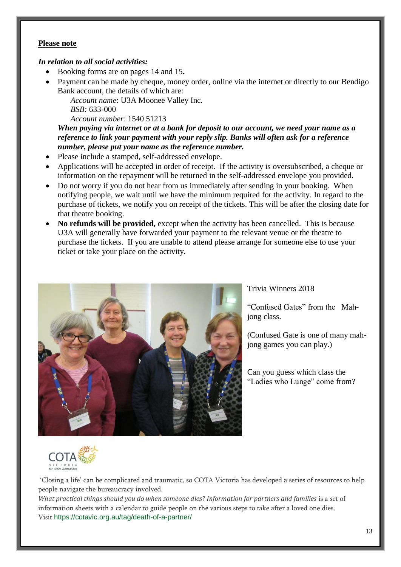#### **Please note**

#### *In relation to all social activities:*

- Booking forms are on pages 14 and 15**.**
- Payment can be made by cheque, money order, online via the internet or directly to our Bendigo Bank account, the details of which are:

*Account name*: U3A Moonee Valley Inc. *BSB:* 633-000

*Account number*: 1540 51213

*When paying via internet or at a bank for deposit to our account, we need your name as a reference to link your payment with your reply slip. Banks will often ask for a reference number, please put your name as the reference number.*

- Please include a stamped, self-addressed envelope.
- Applications will be accepted in order of receipt. If the activity is oversubscribed, a cheque or information on the repayment will be returned in the self-addressed envelope you provided.
- Do not worry if you do not hear from us immediately after sending in your booking. When notifying people, we wait until we have the minimum required for the activity. In regard to the purchase of tickets, we notify you on receipt of the tickets. This will be after the closing date for that theatre booking.
- **No refunds will be provided,** except when the activity has been cancelled. This is because U3A will generally have forwarded your payment to the relevant venue or the theatre to purchase the tickets. If you are unable to attend please arrange for someone else to use your ticket or take your place on the activity.



#### Trivia Winners 2018

"Confused Gates" from the Mahjong class.

(Confused Gate is one of many mahjong games you can play.)

Can you guess which class the "Ladies who Lunge" come from?



'Closing a life' can be complicated and traumatic, so COTA Victoria has developed a series of resources to help people navigate the bureaucracy involved.

*What practical things should you do when someone dies? Information for partners and families* is a set of information sheets with a calendar to guide people on the various steps to take after a loved one dies. Visit https://cotavic.org.au/tag/death-of-a-partner/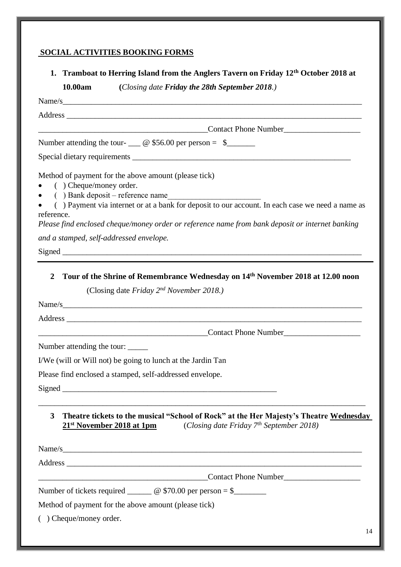# **SOCIAL ACTIVITIES BOOKING FORMS**

**1. Tramboat to Herring Island from the Anglers Tavern on Friday 12th October 2018 at** 

**10.00am (***Closing date Friday the 28th September 2018.)*

| Name/s                                                                                                                                                                                                                                                                                                                                    |
|-------------------------------------------------------------------------------------------------------------------------------------------------------------------------------------------------------------------------------------------------------------------------------------------------------------------------------------------|
|                                                                                                                                                                                                                                                                                                                                           |
| <b>Contact Phone Number</b> <u>Contact Phone Number</u>                                                                                                                                                                                                                                                                                   |
| Number attending the tour- $\_\_\_\_\_\$ <sub>©</sub> \$56.00 per person = \$ $\_\_\_\_\_\_\_\_\_\$                                                                                                                                                                                                                                       |
|                                                                                                                                                                                                                                                                                                                                           |
| Method of payment for the above amount (please tick)<br>( ) Cheque/money order.<br>• () Bank deposit – reference name<br>() Payment via internet or at a bank for deposit to our account. In each case we need a name as<br>reference.<br>Please find enclosed cheque/money order or reference name from bank deposit or internet banking |
| and a stamped, self-addressed envelope.                                                                                                                                                                                                                                                                                                   |
|                                                                                                                                                                                                                                                                                                                                           |
| Tour of the Shrine of Remembrance Wednesday on 14th November 2018 at 12.00 noon<br>(Closing date Friday 2 <sup>nd</sup> November 2018.)                                                                                                                                                                                                   |
|                                                                                                                                                                                                                                                                                                                                           |
| Contact Phone Number                                                                                                                                                                                                                                                                                                                      |
| Number attending the tour:<br>I/We (will or Will not) be going to lunch at the Jardin Tan                                                                                                                                                                                                                                                 |
| Please find enclosed a stamped, self-addressed envelope.                                                                                                                                                                                                                                                                                  |
|                                                                                                                                                                                                                                                                                                                                           |
| Theatre tickets to the musical "School of Rock" at the Her Majesty's Theatre Wednesday<br>3<br>(Closing date Friday $7th$ September 2018)<br>21 <sup>st</sup> November 2018 at 1pm                                                                                                                                                        |
|                                                                                                                                                                                                                                                                                                                                           |
|                                                                                                                                                                                                                                                                                                                                           |
| Contact Phone Number                                                                                                                                                                                                                                                                                                                      |
| Number of tickets required $\_\_\_\_\_\_\_\$ <sub>©</sub> \$70.00 per person = \$                                                                                                                                                                                                                                                         |
| Method of payment for the above amount (please tick)                                                                                                                                                                                                                                                                                      |
| $($ ) Cheque/money order.                                                                                                                                                                                                                                                                                                                 |
| 14                                                                                                                                                                                                                                                                                                                                        |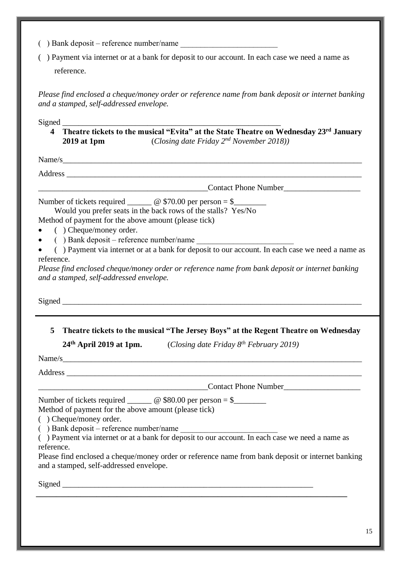- $($ ) Bank deposit reference number/name
- ( ) Payment via internet or at a bank for deposit to our account. In each case we need a name as reference.

*Please find enclosed a cheque/money order or reference name from bank deposit or internet banking and a stamped, self-addressed envelope.*

Signed \_\_\_\_\_\_\_\_\_\_\_\_\_\_\_\_\_\_\_\_\_\_\_\_\_\_\_\_\_\_\_\_\_\_\_\_\_\_\_\_\_\_\_\_\_\_\_\_\_\_\_\_\_\_

**4 Theatre tickets to the musical "Evita" at the State Theatre on Wednesday 23rd January 2019 at 1pm** (*Closing date Friday 2nd November 2018))*

 $Name/s$ 

Address \_\_\_\_\_\_\_\_\_\_\_\_\_\_\_\_\_\_\_\_\_\_\_\_\_\_\_\_\_\_\_\_\_\_\_\_\_\_\_\_\_\_\_\_\_\_\_\_\_\_\_\_\_\_\_\_\_\_\_\_\_\_\_\_\_\_\_\_\_\_\_\_\_

Contact Phone Number

Number of tickets required  $\qquad \qquad @$  \$70.00 per person = \$

Would you prefer seats in the back rows of the stalls? Yes/No

Method of payment for the above amount (please tick)

- ( ) Cheque/money order.
- $($ ) Bank deposit reference number/name
- ( ) Payment via internet or at a bank for deposit to our account. In each case we need a name as reference.

*Please find enclosed cheque/money order or reference name from bank deposit or internet banking and a stamped, self-addressed envelope.*

Signed  $\Box$ 

**5 Theatre tickets to the musical "The Jersey Boys" at the Regent Theatre on Wednesday** 

**24th April 2019 at 1pm.** (*Closing date Friday 8th February 2019)*

Name/s

Address \_\_\_\_\_\_\_\_\_\_\_\_\_\_\_\_\_\_\_\_\_\_\_\_\_\_\_\_\_\_\_\_\_\_\_\_\_\_\_\_\_\_\_\_\_\_\_\_\_\_\_\_\_\_\_\_\_\_\_\_\_\_\_\_\_\_\_\_\_\_\_\_\_

Contact Phone Number

Number of tickets required  $\_\_\_\_\_\_\_\_\$ <sub> $\otimes$  \$80.00 per person = \$ $\_\_\_\_\_\_\_\_\_\$ </sub> Method of payment for the above amount (please tick)

( ) Cheque/money order.

 $($ ) Bank deposit – reference number/name

( ) Payment via internet or at a bank for deposit to our account. In each case we need a name as reference.

**\_\_\_\_\_\_\_\_\_\_\_\_\_\_\_\_\_\_\_\_\_\_\_\_\_\_\_\_\_\_\_\_\_\_\_\_\_\_\_\_\_\_\_\_\_\_\_\_\_\_\_\_\_\_\_\_\_\_\_\_\_\_\_\_\_\_\_\_\_\_\_\_\_\_\_\_\_**

Please find enclosed a cheque/money order or reference name from bank deposit or internet banking and a stamped, self-addressed envelope.

Signed  $\Box$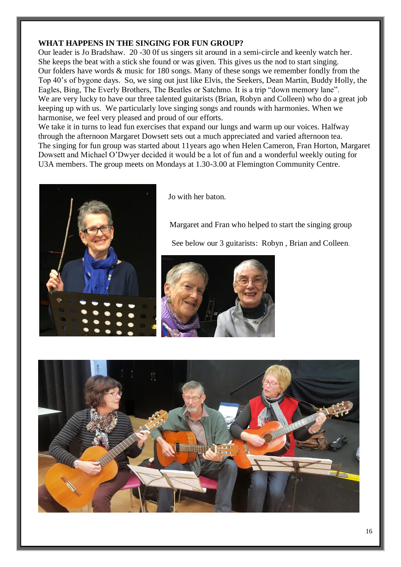#### **WHAT HAPPENS IN THE SINGING FOR FUN GROUP?**

Our leader is Jo Bradshaw. 20 -30 0f us singers sit around in a semi-circle and keenly watch her. She keeps the beat with a stick she found or was given. This gives us the nod to start singing. Our folders have words & music for 180 songs. Many of these songs we remember fondly from the Top 40's of bygone days. So, we sing out just like Elvis, the Seekers, Dean Martin, Buddy Holly, the Eagles, Bing, The Everly Brothers, The Beatles or Satchmo. It is a trip "down memory lane". We are very lucky to have our three talented guitarists (Brian, Robyn and Colleen) who do a great job keeping up with us. We particularly love singing songs and rounds with harmonies. When we harmonise, we feel very pleased and proud of our efforts.

We take it in turns to lead fun exercises that expand our lungs and warm up our voices. Halfway through the afternoon Margaret Dowsett sets out a much appreciated and varied afternoon tea. The singing for fun group was started about 11years ago when Helen Cameron, Fran Horton, Margaret Dowsett and Michael O'Dwyer decided it would be a lot of fun and a wonderful weekly outing for U3A members. The group meets on Mondays at 1.30-3.00 at Flemington Community Centre.



Jo with her baton.

Margaret and Fran who helped to start the singing group

See below our 3 guitarists: Robyn , Brian and Colleen.